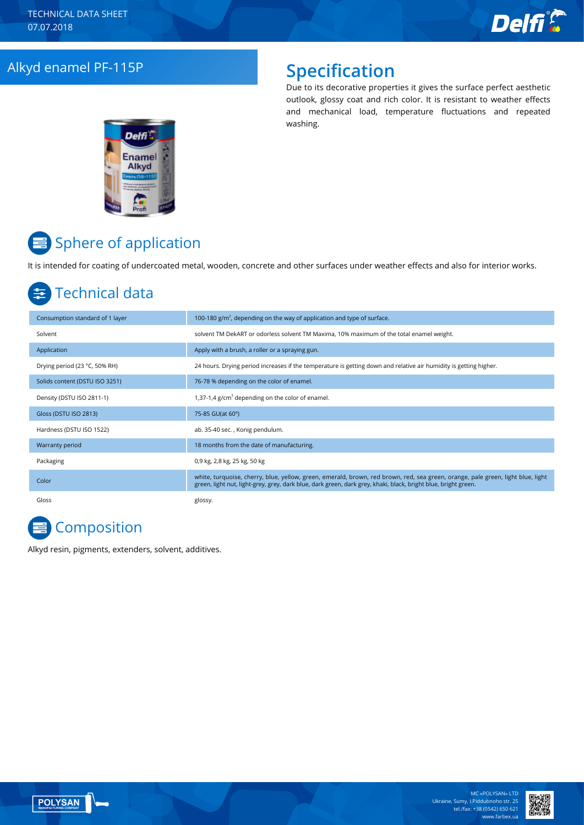### Alkyd enamel PF-115P **Specification**

Due to its decorative properties it gives the surface perfect aesthetic outlook, glossy coat and rich color. It is resistant to weather effects and mechanical load, temperature fluctuations and repeated washing.



# Sphere of application

It is intended for coating of undercoated metal, wooden, concrete and other surfaces under weather effects and also for interior works.

## Technical data

| Consumption standard of 1 layer | 100-180 $g/m2$ , depending on the way of application and type of surface.                                                                                                                                                                         |
|---------------------------------|---------------------------------------------------------------------------------------------------------------------------------------------------------------------------------------------------------------------------------------------------|
| Solvent                         | solvent TM DekART or odorless solvent TM Maxima, 10% maximum of the total enamel weight.                                                                                                                                                          |
| Application                     | Apply with a brush, a roller or a spraying gun.                                                                                                                                                                                                   |
| Drying period (23 °C, 50% RH)   | 24 hours. Drying period increases if the temperature is getting down and relative air humidity is getting higher.                                                                                                                                 |
| Solids content (DSTU ISO 3251)  | 76-78 % depending on the color of enamel.                                                                                                                                                                                                         |
| Density (DSTU ISO 2811-1)       | 1,37-1,4 $g/cm3$ depending on the color of enamel.                                                                                                                                                                                                |
| Gloss (DSTU ISO 2813)           | 75-85 GU(at 60°)                                                                                                                                                                                                                                  |
| Hardness (DSTU ISO 1522)        | ab. 35-40 sec., Konig pendulum.                                                                                                                                                                                                                   |
| Warranty period                 | 18 months from the date of manufacturing.                                                                                                                                                                                                         |
| Packaging                       | 0,9 kg, 2,8 kg, 25 kg, 50 kg                                                                                                                                                                                                                      |
| Color                           | white, turquoise, cherry, blue, yellow, green, emerald, brown, red brown, red, sea green, orange, pale green, light blue, light<br>green, light nut, light-grey, grey, dark blue, dark green, dark grey, khaki, black, bright blue, bright green. |
| Gloss                           | glossy.                                                                                                                                                                                                                                           |

# **Composition**

Alkyd resin, pigments, extenders, solvent, additives.